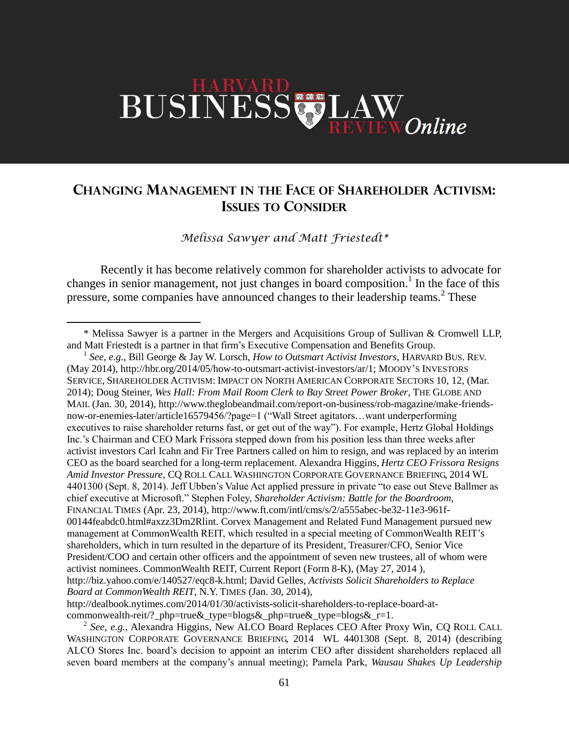# BUSINESS LAW Online

# **CHANGING MANAGEMENT IN THE FACE OF SHAREHOLDER ACTIVISM: ISSUES TO CONSIDER**

*Melissa Sawyer and Matt Friestedt\**

Recently it has become relatively common for shareholder activists to advocate for changes in senior management, not just changes in board composition.<sup>1</sup> In the face of this pressure, some companies have announced changes to their leadership teams.<sup>2</sup> These

 $\overline{a}$ 

1 *See, e.g.*, Bill George & Jay W. Lorsch, *How to Outsmart Activist Investors*, HARVARD BUS. REV. (May 2014), http://hbr.org/2014/05/how-to-outsmart-activist-investors/ar/1; MOODY'S INVESTORS SERVICE, SHAREHOLDER ACTIVISM: IMPACT ON NORTH AMERICAN CORPORATE SECTORS 10, 12, (Mar. 2014); Doug Steiner, *Wes Hall: From Mail Room Clerk to Bay Street Power Broker*, THE GLOBE AND MAIL (Jan. 30, 2014), http://www.theglobeandmail.com/report-on-business/rob-magazine/make-friendsnow-or-enemies-later/article16579456/?page=1 ("Wall Street agitators…want underperforming executives to raise shareholder returns fast, or get out of the way"). For example, Hertz Global Holdings Inc.'s Chairman and CEO Mark Frissora stepped down from his position less than three weeks after activist investors Carl Icahn and Fir Tree Partners called on him to resign, and was replaced by an interim CEO as the board searched for a long-term replacement. Alexandra Higgins, *Hertz CEO Frissora Resigns Amid Investor Pressure,* CQ ROLL CALL WASHINGTON CORPORATE GOVERNANCE BRIEFING, 2014 WL 4401300 (Sept. 8, 2014). Jeff Ubben's Value Act applied pressure in private "to ease out Steve Ballmer as chief executive at Microsoft." Stephen Foley, *Shareholder Activism: Battle for the Boardroom*, FINANCIAL TIMES (Apr. 23, 2014), http://www.ft.com/intl/cms/s/2/a555abec-be32-11e3-961f-00144feabdc0.html#axzz3Dm2Rlint. Corvex Management and Related Fund Management pursued new management at CommonWealth REIT, which resulted in a special meeting of CommonWealth REIT's shareholders, which in turn resulted in the departure of its President, Treasurer/CFO, Senior Vice President/COO and certain other officers and the appointment of seven new trustees, all of whom were activist nominees. CommonWealth REIT, Current Report (Form 8-K), (May 27, 2014 ), http://biz.yahoo.com/e/140527/eqc8-k.html; David Gelles, *Activists Solicit Shareholders to Replace Board at CommonWealth REIT*, N.Y. TIMES (Jan. 30, 2014), http://dealbook.nytimes.com/2014/01/30/activists-solicit-shareholders-to-replace-board-at-

commonwealth-reit/?\_php=true&\_type=blogs&\_php=true&\_type=blogs&\_r=1.

2 *See, e.g.*, Alexandra Higgins, New ALCO Board Replaces CEO After Proxy Win, CQ ROLL CALL WASHINGTON CORPORATE GOVERNANCE BRIEFING, 2014 WL 4401308 (Sept. 8, 2014) (describing ALCO Stores Inc. board's decision to appoint an interim CEO after dissident shareholders replaced all seven board members at the company's annual meeting); Pamela Park, *Wausau Shakes Up Leadership* 

<sup>\*</sup> Melissa Sawyer is a partner in the Mergers and Acquisitions Group of Sullivan & Cromwell LLP, and Matt Friestedt is a partner in that firm's Executive Compensation and Benefits Group.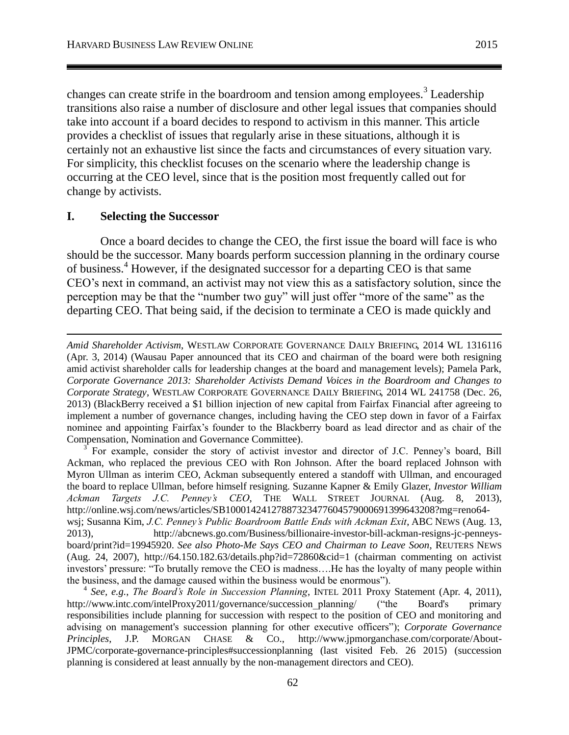changes can create strife in the boardroom and tension among employees.<sup>3</sup> Leadership transitions also raise a number of disclosure and other legal issues that companies should take into account if a board decides to respond to activism in this manner. This article provides a checklist of issues that regularly arise in these situations, although it is certainly not an exhaustive list since the facts and circumstances of every situation vary. For simplicity, this checklist focuses on the scenario where the leadership change is occurring at the CEO level, since that is the position most frequently called out for change by activists.

### **I. Selecting the Successor**

 $\overline{a}$ 

Once a board decides to change the CEO, the first issue the board will face is who should be the successor. Many boards perform succession planning in the ordinary course of business.<sup>4</sup> However, if the designated successor for a departing CEO is that same CEO's next in command, an activist may not view this as a satisfactory solution, since the perception may be that the "number two guy" will just offer "more of the same" as the departing CEO. That being said, if the decision to terminate a CEO is made quickly and

3 For example, consider the story of activist investor and director of J.C. Penney's board, Bill Ackman, who replaced the previous CEO with Ron Johnson. After the board replaced Johnson with Myron Ullman as interim CEO, Ackman subsequently entered a standoff with Ullman, and encouraged the board to replace Ullman, before himself resigning. Suzanne Kapner & Emily Glazer, *Investor William Ackman Targets J.C. Penney's CEO*, THE WALL STREET JOURNAL (Aug. 8, 2013), http://online.wsj.com/news/articles/SB10001424127887323477604579000691399643208?mg=reno64 wsj; Susanna Kim, *J.C. Penney's Public Boardroom Battle Ends with Ackman Exit*, ABC NEWS (Aug. 13, 2013), http://abcnews.go.com/Business/billionaire-investor-bill-ackman-resigns-jc-penneysboard/print?id=19945920. *See also Photo-Me Says CEO and Chairman to Leave Soon*, REUTERS NEWS (Aug. 24, 2007), http://64.150.182.63/details.php?id=72860&cid=1 (chairman commenting on activist investors' pressure: "To brutally remove the CEO is madness….He has the loyalty of many people within the business, and the damage caused within the business would be enormous").

4 *See, e.g.*, *The Board's Role in Succession Planning*, INTEL 2011 Proxy Statement (Apr. 4, 2011), http://www.intc.com/intelProxy2011/governance/succession\_planning/ ("the Board's primary responsibilities include planning for succession with respect to the position of CEO and monitoring and advising on management's succession planning for other executive officers"); *Corporate Governance Principles*, J.P. MORGAN CHASE & CO., http://www.jpmorganchase.com/corporate/About-JPMC/corporate-governance-principles#successionplanning (last visited Feb. 26 2015) (succession planning is considered at least annually by the non-management directors and CEO).

*Amid Shareholder Activism*, WESTLAW CORPORATE GOVERNANCE DAILY BRIEFING, 2014 WL 1316116 (Apr. 3, 2014) (Wausau Paper announced that its CEO and chairman of the board were both resigning amid activist shareholder calls for leadership changes at the board and management levels); Pamela Park, *Corporate Governance 2013: Shareholder Activists Demand Voices in the Boardroom and Changes to Corporate Strategy*, WESTLAW CORPORATE GOVERNANCE DAILY BRIEFING, 2014 WL 241758 (Dec. 26, 2013) (BlackBerry received a \$1 billion injection of new capital from Fairfax Financial after agreeing to implement a number of governance changes, including having the CEO step down in favor of a Fairfax nominee and appointing Fairfax's founder to the Blackberry board as lead director and as chair of the Compensation, Nomination and Governance Committee).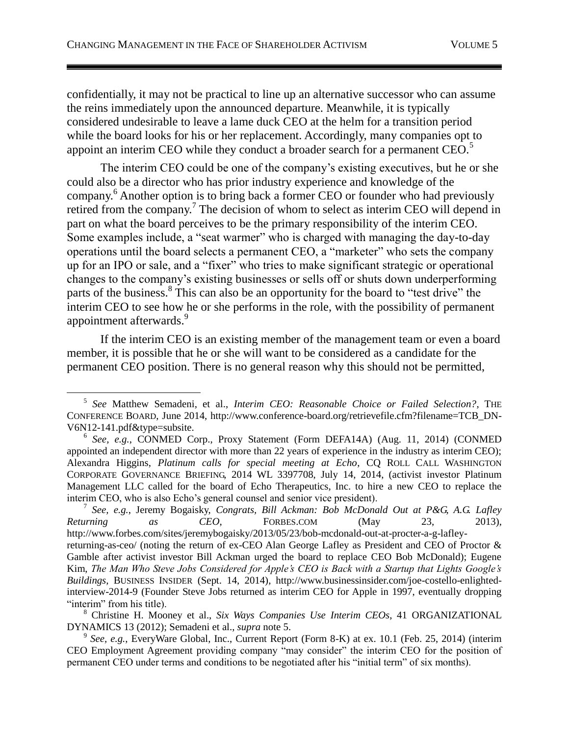confidentially, it may not be practical to line up an alternative successor who can assume the reins immediately upon the announced departure. Meanwhile, it is typically considered undesirable to leave a lame duck CEO at the helm for a transition period while the board looks for his or her replacement. Accordingly, many companies opt to appoint an interim CEO while they conduct a broader search for a permanent CEO.<sup>5</sup>

<span id="page-2-0"></span>The interim CEO could be one of the company's existing executives, but he or she could also be a director who has prior industry experience and knowledge of the company. <sup>6</sup> Another option is to bring back a former CEO or founder who had previously retired from the company.<sup>7</sup> The decision of whom to select as interim CEO will depend in part on what the board perceives to be the primary responsibility of the interim CEO. Some examples include, a "seat warmer" who is charged with managing the day-to-day operations until the board selects a permanent CEO, a "marketer" who sets the company up for an IPO or sale, and a "fixer" who tries to make significant strategic or operational changes to the company's existing businesses or sells off or shuts down underperforming parts of the business.<sup>8</sup> This can also be an opportunity for the board to "test drive" the interim CEO to see how he or she performs in the role, with the possibility of permanent appointment afterwards.<sup>9</sup>

If the interim CEO is an existing member of the management team or even a board member, it is possible that he or she will want to be considered as a candidate for the permanent CEO position. There is no general reason why this should not be permitted,

<sup>5</sup> *See* Matthew Semadeni, et al., *Interim CEO: Reasonable Choice or Failed Selection?*, THE CONFERENCE BOARD, June 2014, http://www.conference-board.org/retrievefile.cfm?filename=TCB\_DN-V6N12-141.pdf&type=subsite.

<sup>6</sup> *See, e.g.*, CONMED Corp., Proxy Statement (Form DEFA14A) (Aug. 11, 2014) (CONMED appointed an independent director with more than 22 years of experience in the industry as interim CEO); Alexandra Higgins, *Platinum calls for special meeting at Echo*, CQ ROLL CALL WASHINGTON CORPORATE GOVERNANCE BRIEFING, 2014 WL 3397708, July 14, 2014, (activist investor Platinum Management LLC called for the board of Echo Therapeutics, Inc. to hire a new CEO to replace the interim CEO, who is also Echo's general counsel and senior vice president).

<sup>7</sup> *See, e.g.*, Jeremy Bogaisky, *Congrats, Bill Ackman: Bob McDonald Out at P&G, A.G. Lafley Returning as CEO*, FORBES.COM (May 23, 2013), http://www.forbes.com/sites/jeremybogaisky/2013/05/23/bob-mcdonald-out-at-procter-a-g-lafleyreturning-as-ceo/ (noting the return of ex-CEO Alan George Lafley as President and CEO of Proctor & Gamble after activist investor Bill Ackman urged the board to replace CEO Bob McDonald); Eugene Kim, *The Man Who Steve Jobs Considered for Apple's CEO is Back with a Startup that Lights Google's Buildings*, BUSINESS INSIDER (Sept. 14, 2014), http://www.businessinsider.com/joe-costello-enlightedinterview-2014-9 (Founder Steve Jobs returned as interim CEO for Apple in 1997, eventually dropping "interim" from his title).

<sup>8</sup> Christine H. Mooney et al., *Six Ways Companies Use Interim CEOs*, 41 ORGANIZATIONAL DYNAMICS 13 (2012); Semadeni et al., *supra* note [5.](#page-2-0)

<sup>9</sup> *See, e.g.*, EveryWare Global, Inc., Current Report (Form 8-K) at ex. 10.1 (Feb. 25, 2014) (interim CEO Employment Agreement providing company "may consider" the interim CEO for the position of permanent CEO under terms and conditions to be negotiated after his "initial term" of six months).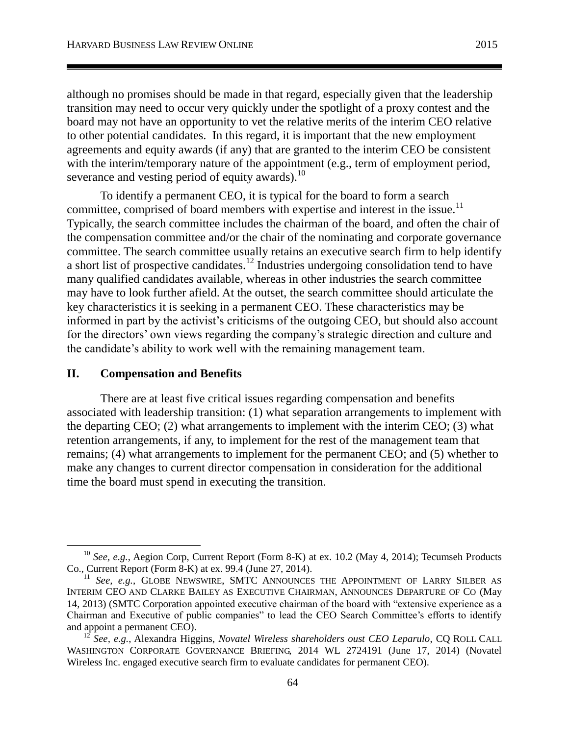although no promises should be made in that regard, especially given that the leadership transition may need to occur very quickly under the spotlight of a proxy contest and the board may not have an opportunity to vet the relative merits of the interim CEO relative to other potential candidates. In this regard, it is important that the new employment agreements and equity awards (if any) that are granted to the interim CEO be consistent with the interim/temporary nature of the appointment (e.g., term of employment period, severance and vesting period of equity awards).<sup>10</sup>

To identify a permanent CEO, it is typical for the board to form a search committee, comprised of board members with expertise and interest in the issue.<sup>11</sup> Typically, the search committee includes the chairman of the board, and often the chair of the compensation committee and/or the chair of the nominating and corporate governance committee. The search committee usually retains an executive search firm to help identify a short list of prospective candidates.<sup>12</sup> Industries undergoing consolidation tend to have many qualified candidates available, whereas in other industries the search committee may have to look further afield. At the outset, the search committee should articulate the key characteristics it is seeking in a permanent CEO. These characteristics may be informed in part by the activist's criticisms of the outgoing CEO, but should also account for the directors' own views regarding the company's strategic direction and culture and the candidate's ability to work well with the remaining management team.

# **II. Compensation and Benefits**

 $\overline{a}$ 

There are at least five critical issues regarding compensation and benefits associated with leadership transition: (1) what separation arrangements to implement with the departing CEO; (2) what arrangements to implement with the interim CEO; (3) what retention arrangements, if any, to implement for the rest of the management team that remains; (4) what arrangements to implement for the permanent CEO; and (5) whether to make any changes to current director compensation in consideration for the additional time the board must spend in executing the transition.

<sup>10</sup> *See, e.g.*, Aegion Corp, Current Report (Form 8-K) at ex. 10.2 (May 4, 2014); Tecumseh Products Co., Current Report (Form 8-K) at ex. 99.4 (June 27, 2014).

<sup>&</sup>lt;sup>11</sup> *See, e.g.*, GLOBE NEWSWIRE, SMTC ANNOUNCES THE APPOINTMENT OF LARRY SILBER AS INTERIM CEO AND CLARKE BAILEY AS EXECUTIVE CHAIRMAN, ANNOUNCES DEPARTURE OF CO (May 14, 2013) (SMTC Corporation appointed executive chairman of the board with "extensive experience as a Chairman and Executive of public companies" to lead the CEO Search Committee's efforts to identify and appoint a permanent CEO).

<sup>12</sup> *See, e.g.*, Alexandra Higgins, *Novatel Wireless shareholders oust CEO Leparulo*, CQ ROLL CALL WASHINGTON CORPORATE GOVERNANCE BRIEFING, 2014 WL 2724191 (June 17, 2014) (Novatel Wireless Inc. engaged executive search firm to evaluate candidates for permanent CEO).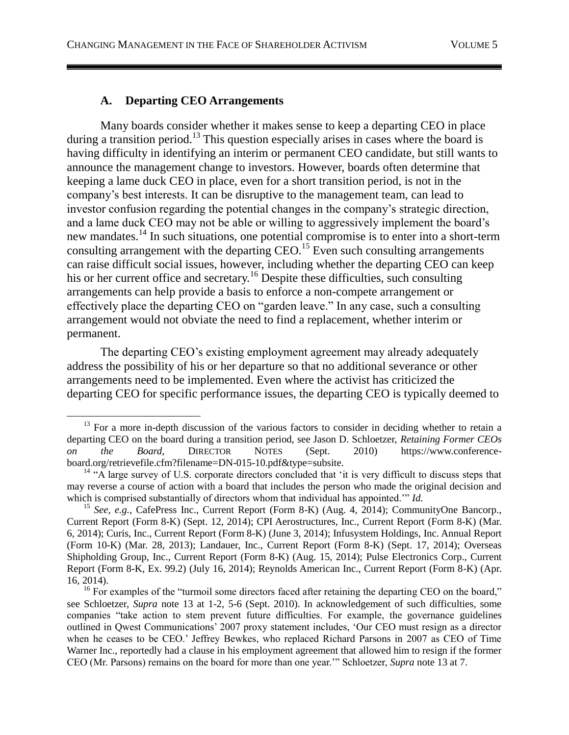# <span id="page-4-0"></span>**A. Departing CEO Arrangements**

 $\overline{a}$ 

Many boards consider whether it makes sense to keep a departing CEO in place during a transition period.<sup>13</sup> This question especially arises in cases where the board is having difficulty in identifying an interim or permanent CEO candidate, but still wants to announce the management change to investors. However, boards often determine that keeping a lame duck CEO in place, even for a short transition period, is not in the company's best interests. It can be disruptive to the management team, can lead to investor confusion regarding the potential changes in the company's strategic direction, and a lame duck CEO may not be able or willing to aggressively implement the board's new mandates.<sup>14</sup> In such situations, one potential compromise is to enter into a short-term consulting arrangement with the departing  $CEO<sup>15</sup>$  Even such consulting arrangements can raise difficult social issues, however, including whether the departing CEO can keep his or her current office and secretary.<sup>16</sup> Despite these difficulties, such consulting arrangements can help provide a basis to enforce a non-compete arrangement or effectively place the departing CEO on "garden leave." In any case, such a consulting arrangement would not obviate the need to find a replacement, whether interim or permanent.

The departing CEO's existing employment agreement may already adequately address the possibility of his or her departure so that no additional severance or other arrangements need to be implemented. Even where the activist has criticized the departing CEO for specific performance issues, the departing CEO is typically deemed to

<sup>&</sup>lt;sup>13</sup> For a more in-depth discussion of the various factors to consider in deciding whether to retain a departing CEO on the board during a transition period, see Jason D. Schloetzer, *Retaining Former CEOs on the Board*, DIRECTOR NOTES (Sept. 2010) https://www.conferenceboard.org/retrievefile.cfm?filename=DN-015-10.pdf&type=subsite.

<sup>&</sup>lt;sup>14</sup> "A large survey of U.S. corporate directors concluded that 'it is very difficult to discuss steps that may reverse a course of action with a board that includes the person who made the original decision and which is comprised substantially of directors whom that individual has appointed.'" *Id.* 

<sup>&</sup>lt;sup>15</sup> See, e.g., CafePress Inc., Current Report (Form 8-K) (Aug. 4, 2014); CommunityOne Bancorp., Current Report (Form 8-K) (Sept. 12, 2014); CPI Aerostructures, Inc., Current Report (Form 8-K) (Mar. 6, 2014); Curis, Inc., Current Report (Form 8-K) (June 3, 2014); Infusystem Holdings, Inc. Annual Report (Form 10-K) (Mar. 28, 2013); Landauer, Inc., Current Report (Form 8-K) (Sept. 17, 2014); Overseas Shipholding Group, Inc., Current Report (Form 8-K) (Aug. 15, 2014); Pulse Electronics Corp., Current Report (Form 8-K, Ex. 99.2) (July 16, 2014); Reynolds American Inc., Current Report (Form 8-K) (Apr. 16, 2014).

<sup>&</sup>lt;sup>16</sup> For examples of the "turmoil some directors faced after retaining the departing CEO on the board," see Schloetzer, *Supra* note [13](#page-4-0) at 1-2, 5-6 (Sept. 2010). In acknowledgement of such difficulties, some companies "take action to stem prevent future difficulties. For example, the governance guidelines outlined in Qwest Communications' 2007 proxy statement includes, 'Our CEO must resign as a director when he ceases to be CEO.' Jeffrey Bewkes, who replaced Richard Parsons in 2007 as CEO of Time Warner Inc., reportedly had a clause in his employment agreement that allowed him to resign if the former CEO (Mr. Parsons) remains on the board for more than one year.'" Schloetzer, *Supra* note [13](#page-4-0) at 7.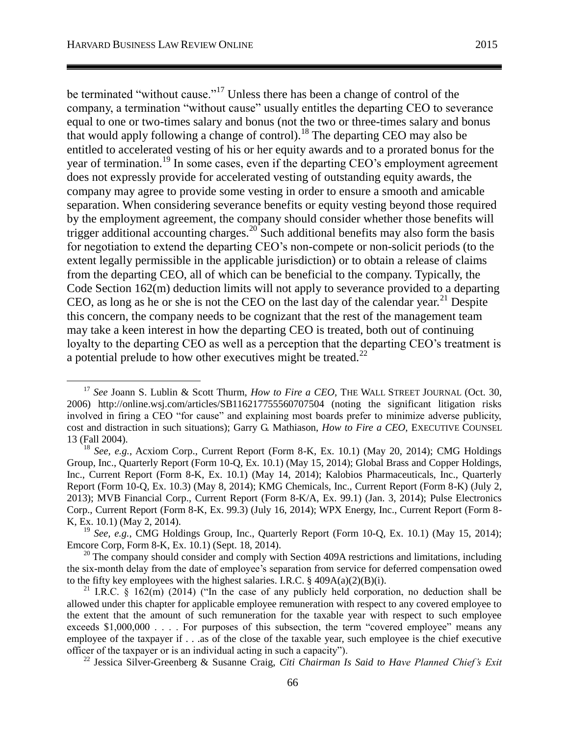be terminated "without cause."<sup>17</sup> Unless there has been a change of control of the company, a termination "without cause" usually entitles the departing CEO to severance equal to one or two-times salary and bonus (not the two or three-times salary and bonus that would apply following a change of control).<sup>18</sup> The departing CEO may also be entitled to accelerated vesting of his or her equity awards and to a prorated bonus for the year of termination.<sup>19</sup> In some cases, even if the departing CEO's employment agreement does not expressly provide for accelerated vesting of outstanding equity awards, the company may agree to provide some vesting in order to ensure a smooth and amicable separation. When considering severance benefits or equity vesting beyond those required by the employment agreement, the company should consider whether those benefits will trigger additional accounting charges.<sup>20</sup> Such additional benefits may also form the basis for negotiation to extend the departing CEO's non-compete or non-solicit periods (to the extent legally permissible in the applicable jurisdiction) or to obtain a release of claims from the departing CEO, all of which can be beneficial to the company. Typically, the Code Section 162(m) deduction limits will not apply to severance provided to a departing CEO, as long as he or she is not the CEO on the last day of the calendar year.<sup>21</sup> Despite this concern, the company needs to be cognizant that the rest of the management team may take a keen interest in how the departing CEO is treated, both out of continuing loyalty to the departing CEO as well as a perception that the departing CEO's treatment is a potential prelude to how other executives might be treated. $^{22}$ 

<sup>&</sup>lt;sup>17</sup> See Joann S. Lublin & Scott Thurm, *How to Fire a CEO*, THE WALL STREET JOURNAL (Oct. 30, 2006) http://online.wsj.com/articles/SB116217755560707504 (noting the significant litigation risks involved in firing a CEO "for cause" and explaining most boards prefer to minimize adverse publicity, cost and distraction in such situations); Garry G. Mathiason, *How to Fire a CEO*, EXECUTIVE COUNSEL 13 (Fall 2004).

<sup>18</sup> *See, e.g.*, Acxiom Corp., Current Report (Form 8-K, Ex. 10.1) (May 20, 2014); CMG Holdings Group, Inc., Quarterly Report (Form 10-Q, Ex. 10.1) (May 15, 2014); Global Brass and Copper Holdings, Inc., Current Report (Form 8-K, Ex. 10.1) (May 14, 2014); Kalobios Pharmaceuticals, Inc., Quarterly Report (Form 10-Q, Ex. 10.3) (May 8, 2014); KMG Chemicals, Inc., Current Report (Form 8-K) (July 2, 2013); MVB Financial Corp., Current Report (Form 8-K/A, Ex. 99.1) (Jan. 3, 2014); Pulse Electronics Corp., Current Report (Form 8-K, Ex. 99.3) (July 16, 2014); WPX Energy, Inc., Current Report (Form 8- K, Ex. 10.1) (May 2, 2014).

<sup>19</sup> *See, e.g.*, CMG Holdings Group, Inc., Quarterly Report (Form 10-Q, Ex. 10.1) (May 15, 2014); Emcore Corp, Form 8-K, Ex. 10.1) (Sept. 18, 2014).

<sup>&</sup>lt;sup>20</sup> The company should consider and comply with Section 409A restrictions and limitations, including the six-month delay from the date of employee's separation from service for deferred compensation owed to the fifty key employees with the highest salaries. I.R.C.  $\S$  409A(a)(2)(B)(i).

<sup>&</sup>lt;sup>21</sup> I.R.C. § 162(m) (2014) ("In the case of any publicly held corporation, no deduction shall be allowed under this chapter for applicable employee remuneration with respect to any covered employee to the extent that the amount of such remuneration for the taxable year with respect to such employee exceeds \$1,000,000 . . . . For purposes of this subsection, the term "covered employee" means any employee of the taxpayer if . . .as of the close of the taxable year, such employee is the chief executive officer of the taxpayer or is an individual acting in such a capacity").

<sup>22</sup> Jessica Silver-Greenberg & Susanne Craig, *Citi Chairman Is Said to Have Planned Chief's Exit*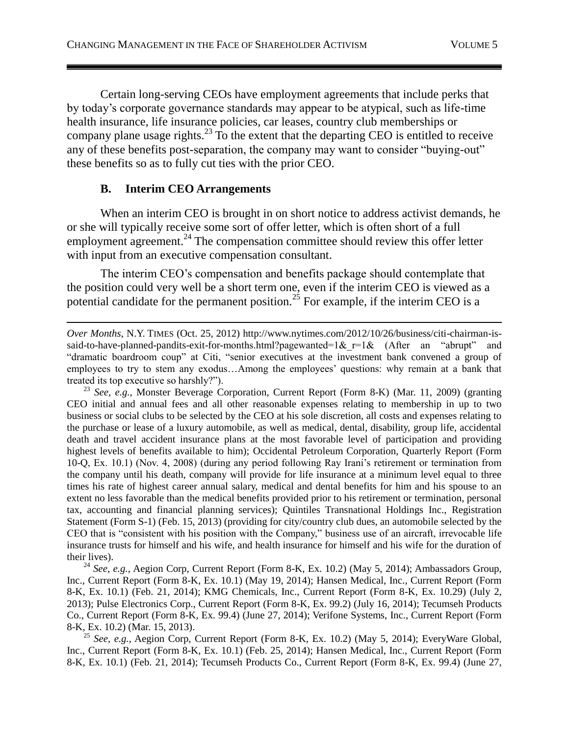Certain long-serving CEOs have employment agreements that include perks that by today's corporate governance standards may appear to be atypical, such as life-time health insurance, life insurance policies, car leases, country club memberships or company plane usage rights.<sup>23</sup> To the extent that the departing CEO is entitled to receive any of these benefits post-separation, the company may want to consider "buying-out" these benefits so as to fully cut ties with the prior CEO.

# **B. Interim CEO Arrangements**

When an interim CEO is brought in on short notice to address activist demands, he or she will typically receive some sort of offer letter, which is often short of a full employment agreement.<sup>24</sup> The compensation committee should review this offer letter with input from an executive compensation consultant.

The interim CEO's compensation and benefits package should contemplate that the position could very well be a short term one, even if the interim CEO is viewed as a potential candidate for the permanent position.<sup>25</sup> For example, if the interim CEO is a

<sup>23</sup> *See, e.g.*, Monster Beverage Corporation, Current Report (Form 8-K) (Mar. 11, 2009) (granting CEO initial and annual fees and all other reasonable expenses relating to membership in up to two business or social clubs to be selected by the CEO at his sole discretion, all costs and expenses relating to the purchase or lease of a luxury automobile, as well as medical, dental, disability, group life, accidental death and travel accident insurance plans at the most favorable level of participation and providing highest levels of benefits available to him); Occidental Petroleum Corporation, Quarterly Report (Form 10-Q, Ex. 10.1) (Nov. 4, 2008) (during any period following Ray Irani's retirement or termination from the company until his death, company will provide for life insurance at a minimum level equal to three times his rate of highest career annual salary, medical and dental benefits for him and his spouse to an extent no less favorable than the medical benefits provided prior to his retirement or termination, personal tax, accounting and financial planning services); Quintiles Transnational Holdings Inc., Registration Statement (Form S-1) (Feb. 15, 2013) (providing for city/country club dues, an automobile selected by the CEO that is "consistent with his position with the Company," business use of an aircraft, irrevocable life insurance trusts for himself and his wife, and health insurance for himself and his wife for the duration of their lives).

<sup>24</sup> See, e.g., Aegion Corp, Current Report (Form 8-K, Ex. 10.2) (May 5, 2014); Ambassadors Group, Inc., Current Report (Form 8-K, Ex. 10.1) (May 19, 2014); Hansen Medical, Inc., Current Report (Form 8-K, Ex. 10.1) (Feb. 21, 2014); KMG Chemicals, Inc., Current Report (Form 8-K, Ex. 10.29) (July 2, 2013); Pulse Electronics Corp., Current Report (Form 8-K, Ex. 99.2) (July 16, 2014); Tecumseh Products Co., Current Report (Form 8-K, Ex. 99.4) (June 27, 2014); Verifone Systems, Inc., Current Report (Form 8-K, Ex. 10.2) (Mar. 15, 2013).

<sup>25</sup> *See, e.g.*, Aegion Corp, Current Report (Form 8-K, Ex. 10.2) (May 5, 2014); EveryWare Global, Inc., Current Report (Form 8-K, Ex. 10.1) (Feb. 25, 2014); Hansen Medical, Inc., Current Report (Form 8-K, Ex. 10.1) (Feb. 21, 2014); Tecumseh Products Co., Current Report (Form 8-K, Ex. 99.4) (June 27,

 $\overline{a}$ *Over Months*, N.Y. TIMES (Oct. 25, 2012) http://www.nytimes.com/2012/10/26/business/citi-chairman-issaid-to-have-planned-pandits-exit-for-months.html?pagewanted=1& $r=1$ & (After an "abrupt" and "dramatic boardroom coup" at Citi, "senior executives at the investment bank convened a group of employees to try to stem any exodus…Among the employees' questions: why remain at a bank that treated its top executive so harshly?").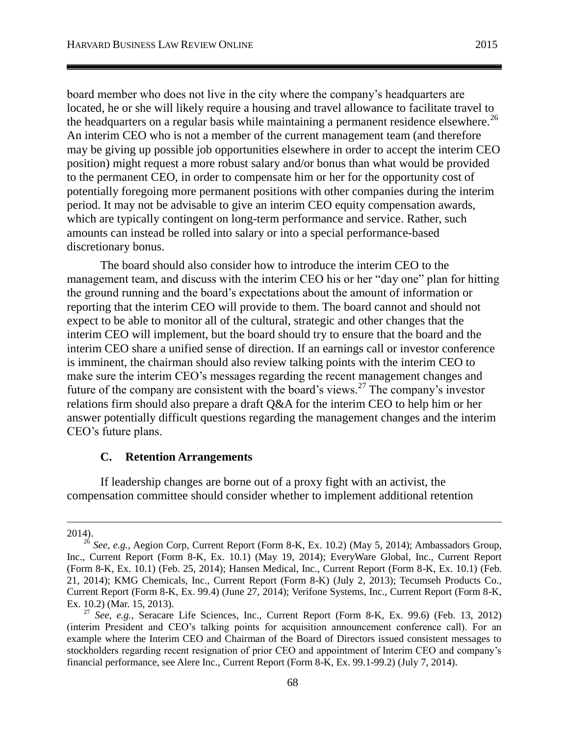board member who does not live in the city where the company's headquarters are located, he or she will likely require a housing and travel allowance to facilitate travel to the headquarters on a regular basis while maintaining a permanent residence elsewhere.<sup>26</sup> An interim CEO who is not a member of the current management team (and therefore may be giving up possible job opportunities elsewhere in order to accept the interim CEO position) might request a more robust salary and/or bonus than what would be provided to the permanent CEO, in order to compensate him or her for the opportunity cost of potentially foregoing more permanent positions with other companies during the interim period. It may not be advisable to give an interim CEO equity compensation awards, which are typically contingent on long-term performance and service. Rather, such amounts can instead be rolled into salary or into a special performance-based discretionary bonus.

The board should also consider how to introduce the interim CEO to the management team, and discuss with the interim CEO his or her "day one" plan for hitting the ground running and the board's expectations about the amount of information or reporting that the interim CEO will provide to them. The board cannot and should not expect to be able to monitor all of the cultural, strategic and other changes that the interim CEO will implement, but the board should try to ensure that the board and the interim CEO share a unified sense of direction. If an earnings call or investor conference is imminent, the chairman should also review talking points with the interim CEO to make sure the interim CEO's messages regarding the recent management changes and future of the company are consistent with the board's views.<sup>27</sup> The company's investor relations firm should also prepare a draft Q&A for the interim CEO to help him or her answer potentially difficult questions regarding the management changes and the interim CEO's future plans.

### **C. Retention Arrangements**

If leadership changes are borne out of a proxy fight with an activist, the compensation committee should consider whether to implement additional retention

 $\overline{a}$ 

<sup>2014).</sup>

<sup>&</sup>lt;sup>26</sup> See, e.g., Aegion Corp, Current Report (Form 8-K, Ex. 10.2) (May 5, 2014); Ambassadors Group, Inc., Current Report (Form 8-K, Ex. 10.1) (May 19, 2014); EveryWare Global, Inc., Current Report (Form 8-K, Ex. 10.1) (Feb. 25, 2014); Hansen Medical, Inc., Current Report (Form 8-K, Ex. 10.1) (Feb. 21, 2014); KMG Chemicals, Inc., Current Report (Form 8-K) (July 2, 2013); Tecumseh Products Co., Current Report (Form 8-K, Ex. 99.4) (June 27, 2014); Verifone Systems, Inc., Current Report (Form 8-K, Ex. 10.2) (Mar. 15, 2013).

<sup>27</sup> *See, e.g.*, Seracare Life Sciences, Inc., Current Report (Form 8-K, Ex. 99.6) (Feb. 13, 2012) (interim President and CEO's talking points for acquisition announcement conference call). For an example where the Interim CEO and Chairman of the Board of Directors issued consistent messages to stockholders regarding recent resignation of prior CEO and appointment of Interim CEO and company's financial performance, see Alere Inc., Current Report (Form 8-K, Ex. 99.1-99.2) (July 7, 2014).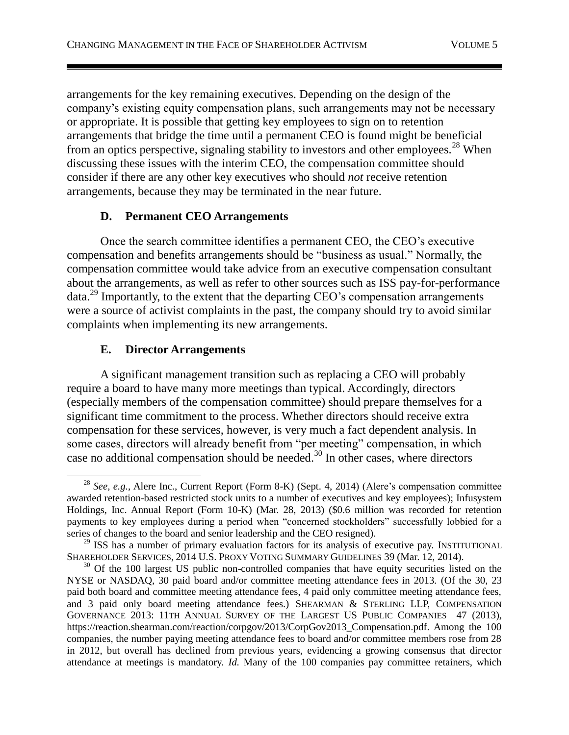arrangements for the key remaining executives. Depending on the design of the company's existing equity compensation plans, such arrangements may not be necessary or appropriate. It is possible that getting key employees to sign on to retention arrangements that bridge the time until a permanent CEO is found might be beneficial from an optics perspective, signaling stability to investors and other employees.<sup>28</sup> When discussing these issues with the interim CEO, the compensation committee should consider if there are any other key executives who should *not* receive retention arrangements, because they may be terminated in the near future.

# **D. Permanent CEO Arrangements**

Once the search committee identifies a permanent CEO, the CEO's executive compensation and benefits arrangements should be "business as usual." Normally, the compensation committee would take advice from an executive compensation consultant about the arrangements, as well as refer to other sources such as ISS pay-for-performance  $data.<sup>29</sup>$  Importantly, to the extent that the departing CEO's compensation arrangements were a source of activist complaints in the past, the company should try to avoid similar complaints when implementing its new arrangements.

# <span id="page-8-0"></span>**E. Director Arrangements**

A significant management transition such as replacing a CEO will probably require a board to have many more meetings than typical. Accordingly, directors (especially members of the compensation committee) should prepare themselves for a significant time commitment to the process. Whether directors should receive extra compensation for these services, however, is very much a fact dependent analysis. In some cases, directors will already benefit from "per meeting" compensation, in which case no additional compensation should be needed.<sup>30</sup> In other cases, where directors

 $\overline{a}$ <sup>28</sup> *See, e.g.*, Alere Inc., Current Report (Form 8-K) (Sept. 4, 2014) (Alere's compensation committee awarded retention-based restricted stock units to a number of executives and key employees); Infusystem Holdings, Inc. Annual Report (Form 10-K) (Mar. 28, 2013) (\$0.6 million was recorded for retention payments to key employees during a period when "concerned stockholders" successfully lobbied for a series of changes to the board and senior leadership and the CEO resigned).

<sup>&</sup>lt;sup>29</sup> ISS has a number of primary evaluation factors for its analysis of executive pay. INSTITUTIONAL SHAREHOLDER SERVICES, 2014 U.S. PROXY VOTING SUMMARY GUIDELINES 39 (Mar. 12, 2014).

<sup>&</sup>lt;sup>30</sup> Of the 100 largest US public non-controlled companies that have equity securities listed on the NYSE or NASDAQ, 30 paid board and/or committee meeting attendance fees in 2013. (Of the 30, 23 paid both board and committee meeting attendance fees, 4 paid only committee meeting attendance fees, and 3 paid only board meeting attendance fees.) SHEARMAN & STERLING LLP, COMPENSATION GOVERNANCE 2013: 11TH ANNUAL SURVEY OF THE LARGEST US PUBLIC COMPANIES 47 (2013), https://reaction.shearman.com/reaction/corpgov/2013/CorpGov2013\_Compensation.pdf. Among the 100 companies, the number paying meeting attendance fees to board and/or committee members rose from 28 in 2012, but overall has declined from previous years, evidencing a growing consensus that director attendance at meetings is mandatory. *Id.* Many of the 100 companies pay committee retainers, which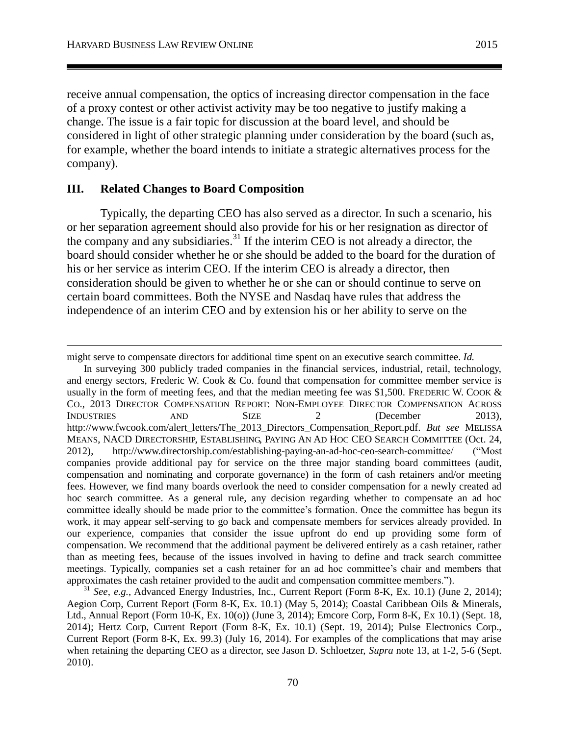receive annual compensation, the optics of increasing director compensation in the face of a proxy contest or other activist activity may be too negative to justify making a change. The issue is a fair topic for discussion at the board level, and should be considered in light of other strategic planning under consideration by the board (such as, for example, whether the board intends to initiate a strategic alternatives process for the company).

### **III. Related Changes to Board Composition**

 $\overline{a}$ 

Typically, the departing CEO has also served as a director. In such a scenario, his or her separation agreement should also provide for his or her resignation as director of the company and any subsidiaries.<sup>31</sup> If the interim CEO is not already a director, the board should consider whether he or she should be added to the board for the duration of his or her service as interim CEO. If the interim CEO is already a director, then consideration should be given to whether he or she can or should continue to serve on certain board committees. Both the NYSE and Nasdaq have rules that address the independence of an interim CEO and by extension his or her ability to serve on the

might serve to compensate directors for additional time spent on an executive search committee. *Id.*

In surveying 300 publicly traded companies in the financial services, industrial, retail, technology, and energy sectors, Frederic W. Cook & Co. found that compensation for committee member service is usually in the form of meeting fees, and that the median meeting fee was \$1,500. FREDERIC W. COOK & CO., 2013 DIRECTOR COMPENSATION REPORT: NON-EMPLOYEE DIRECTOR COMPENSATION ACROSS INDUSTRIES AND SIZE 2 (December 2013), http://www.fwcook.com/alert\_letters/The\_2013\_Directors\_Compensation\_Report.pdf. *But see* MELISSA MEANS, NACD DIRECTORSHIP, ESTABLISHING, PAYING AN AD HOC CEO SEARCH COMMITTEE (Oct. 24, 2012), http://www.directorship.com/establishing-paying-an-ad-hoc-ceo-search-committee/ ("Most companies provide additional pay for service on the three major standing board committees (audit, compensation and nominating and corporate governance) in the form of cash retainers and/or meeting fees. However, we find many boards overlook the need to consider compensation for a newly created ad hoc search committee. As a general rule, any decision regarding whether to compensate an ad hoc committee ideally should be made prior to the committee's formation. Once the committee has begun its work, it may appear self-serving to go back and compensate members for services already provided. In our experience, companies that consider the issue upfront do end up providing some form of compensation. We recommend that the additional payment be delivered entirely as a cash retainer, rather than as meeting fees, because of the issues involved in having to define and track search committee meetings. Typically, companies set a cash retainer for an ad hoc committee's chair and members that approximates the cash retainer provided to the audit and compensation committee members.").

<sup>31</sup> *See*, *e.g.*, Advanced Energy Industries, Inc., Current Report (Form 8-K, Ex. 10.1) (June 2, 2014); Aegion Corp, Current Report (Form 8-K, Ex. 10.1) (May 5, 2014); Coastal Caribbean Oils & Minerals, Ltd., Annual Report (Form 10-K, Ex. 10(o)) (June 3, 2014); Emcore Corp, Form 8-K, Ex 10.1) (Sept. 18, 2014); Hertz Corp, Current Report (Form 8-K, Ex. 10.1) (Sept. 19, 2014); Pulse Electronics Corp., Current Report (Form 8-K, Ex. 99.3) (July 16, 2014). For examples of the complications that may arise when retaining the departing CEO as a director, see Jason D. Schloetzer, *Supra* note [13,](#page-4-0) at 1-2, 5-6 (Sept. 2010).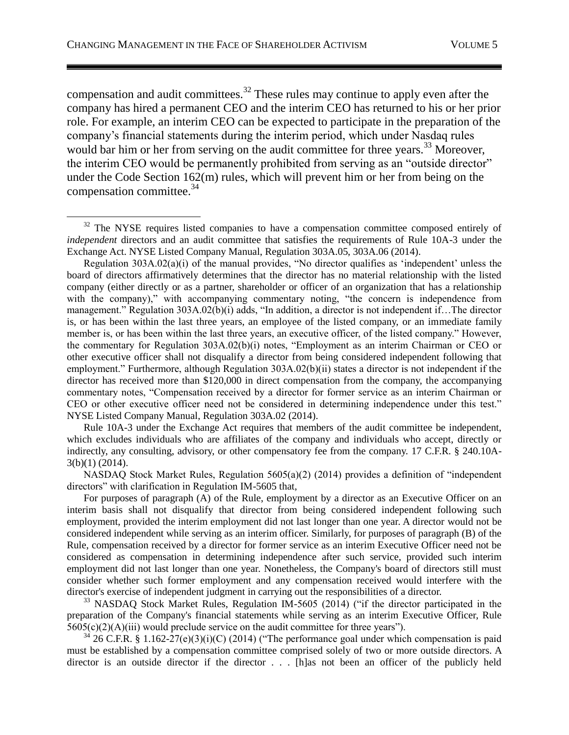compensation and audit committees.<sup>32</sup> These rules may continue to apply even after the company has hired a permanent CEO and the interim CEO has returned to his or her prior role. For example, an interim CEO can be expected to participate in the preparation of the company's financial statements during the interim period, which under Nasdaq rules would bar him or her from serving on the audit committee for three years.<sup>33</sup> Moreover, the interim CEO would be permanently prohibited from serving as an "outside director" under the Code Section 162(m) rules, which will prevent him or her from being on the compensation committee.<sup>34</sup>

Rule 10A-3 under the Exchange Act requires that members of the audit committee be independent, which excludes individuals who are affiliates of the company and individuals who accept, directly or indirectly, any consulting, advisory, or other compensatory fee from the company. 17 C.F.R. § 240.10A-3(b)(1) (2014).

NASDAQ Stock Market Rules, Regulation 5605(a)(2) (2014) provides a definition of "independent directors" with clarification in Regulation IM-5605 that,

For purposes of paragraph (A) of the Rule, employment by a director as an Executive Officer on an interim basis shall not disqualify that director from being considered independent following such employment, provided the interim employment did not last longer than one year. A director would not be considered independent while serving as an interim officer. Similarly, for purposes of paragraph (B) of the Rule, compensation received by a director for former service as an interim Executive Officer need not be considered as compensation in determining independence after such service, provided such interim employment did not last longer than one year. Nonetheless, the Company's board of directors still must consider whether such former employment and any compensation received would interfere with the director's exercise of independent judgment in carrying out the responsibilities of a director.

 $33$  NASDAO Stock Market Rules, Regulation IM-5605 (2014) ("if the director participated in the preparation of the Company's financial statements while serving as an interim Executive Officer, Rule  $5605(c)(2)(A)(iii)$  would preclude service on the audit committee for three years").

26 C.F.R. § 1.162-27(e)(3)(i)(C) (2014) ("The performance goal under which compensation is paid must be established by a compensation committee comprised solely of two or more outside directors. A director is an outside director if the director . . . [h]as not been an officer of the publicly held

 $32$  The NYSE requires listed companies to have a compensation committee composed entirely of *independent* directors and an audit committee that satisfies the requirements of Rule 10A-3 under the Exchange Act. NYSE Listed Company Manual, Regulation 303A.05, 303A.06 (2014).

Regulation 303A.02(a)(i) of the manual provides, "No director qualifies as 'independent' unless the board of directors affirmatively determines that the director has no material relationship with the listed company (either directly or as a partner, shareholder or officer of an organization that has a relationship with the company)," with accompanying commentary noting, "the concern is independence from management." Regulation 303A.02(b)(i) adds, "In addition, a director is not independent if…The director is, or has been within the last three years, an employee of the listed company, or an immediate family member is, or has been within the last three years, an executive officer, of the listed company." However, the commentary for Regulation 303A.02(b)(i) notes, "Employment as an interim Chairman or CEO or other executive officer shall not disqualify a director from being considered independent following that employment." Furthermore, although Regulation 303A.02(b)(ii) states a director is not independent if the director has received more than \$120,000 in direct compensation from the company, the accompanying commentary notes, "Compensation received by a director for former service as an interim Chairman or CEO or other executive officer need not be considered in determining independence under this test." NYSE Listed Company Manual, Regulation 303A.02 (2014).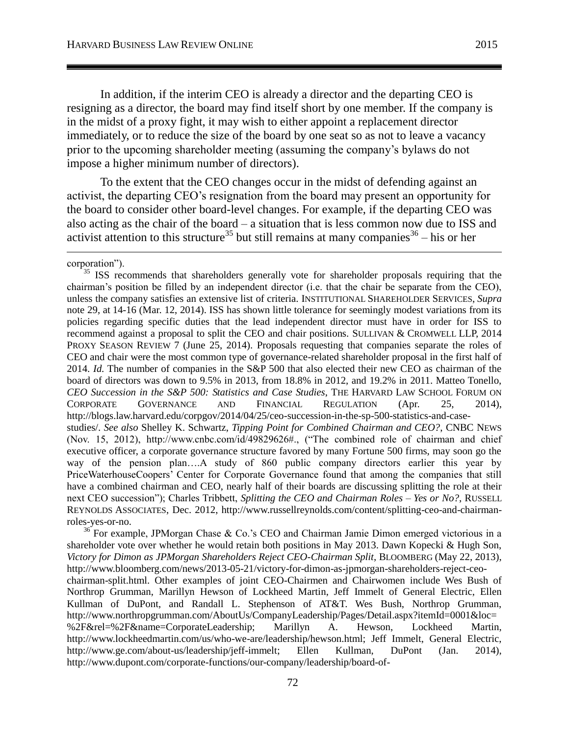In addition, if the interim CEO is already a director and the departing CEO is resigning as a director, the board may find itself short by one member. If the company is in the midst of a proxy fight, it may wish to either appoint a replacement director immediately, or to reduce the size of the board by one seat so as not to leave a vacancy prior to the upcoming shareholder meeting (assuming the company's bylaws do not impose a higher minimum number of directors).

To the extent that the CEO changes occur in the midst of defending against an activist, the departing CEO's resignation from the board may present an opportunity for the board to consider other board-level changes. For example, if the departing CEO was also acting as the chair of the board – a situation that is less common now due to ISS and activist attention to this structure<sup>35</sup> but still remains at many companies<sup>36</sup> – his or her

corporation").

 $\overline{a}$ 

<sup>35</sup> ISS recommends that shareholders generally vote for shareholder proposals requiring that the chairman's position be filled by an independent director (i.e. that the chair be separate from the CEO), unless the company satisfies an extensive list of criteria. INSTITUTIONAL SHAREHOLDER SERVICES, *Supra* note [29,](#page-8-0) at 14-16 (Mar. 12, 2014). ISS has shown little tolerance for seemingly modest variations from its policies regarding specific duties that the lead independent director must have in order for ISS to recommend against a proposal to split the CEO and chair positions. SULLIVAN & CROMWELL LLP, 2014 PROXY SEASON REVIEW 7 (June 25, 2014). Proposals requesting that companies separate the roles of CEO and chair were the most common type of governance-related shareholder proposal in the first half of 2014. *Id.* The number of companies in the S&P 500 that also elected their new CEO as chairman of the board of directors was down to 9.5% in 2013, from 18.8% in 2012, and 19.2% in 2011. Matteo Tonello, *CEO Succession in the S&P 500: Statistics and Case Studies*, THE HARVARD LAW SCHOOL FORUM ON CORPORATE GOVERNANCE AND FINANCIAL REGULATION (Apr. 25, 2014), http://blogs.law.harvard.edu/corpgov/2014/04/25/ceo-succession-in-the-sp-500-statistics-and-casestudies/. *See also* Shelley K. Schwartz, *Tipping Point for Combined Chairman and CEO?*, CNBC NEWS (Nov. 15, 2012), http://www.cnbc.com/id/49829626#., ("The combined role of chairman and chief executive officer, a corporate governance structure favored by many Fortune 500 firms, may soon go the way of the pension plan….A study of 860 public company directors earlier this year by PriceWaterhouseCoopers' Center for Corporate Governance found that among the companies that still have a combined chairman and CEO, nearly half of their boards are discussing splitting the role at their

next CEO succession"); Charles Tribbett, *Splitting the CEO and Chairman Roles – Yes or No?*, RUSSELL REYNOLDS ASSOCIATES, Dec. 2012, http://www.russellreynolds.com/content/splitting-ceo-and-chairmanroles-yes-or-no.

 $36$  For example, JPMorgan Chase & Co.'s CEO and Chairman Jamie Dimon emerged victorious in a shareholder vote over whether he would retain both positions in May 2013. Dawn Kopecki & Hugh Son, *Victory for Dimon as JPMorgan Shareholders Reject CEO-Chairman Split*, BLOOMBERG (May 22, 2013), http://www.bloomberg.com/news/2013-05-21/victory-for-dimon-as-jpmorgan-shareholders-reject-ceo-

chairman-split.html. Other examples of joint CEO-Chairmen and Chairwomen include Wes Bush of Northrop Grumman, Marillyn Hewson of Lockheed Martin, Jeff Immelt of General Electric, Ellen Kullman of DuPont, and Randall L. Stephenson of AT&T. Wes Bush, Northrop Grumman, http://www.northropgrumman.com/AboutUs/CompanyLeadership/Pages/Detail.aspx?itemId=0001&loc= %2F&rel=%2F&name=CorporateLeadership; Marillyn A. Hewson, Lockheed Martin, http://www.lockheedmartin.com/us/who-we-are/leadership/hewson.html; Jeff Immelt, General Electric, http://www.ge.com/about-us/leadership/jeff-immelt; Ellen Kullman, DuPont (Jan. 2014), http://www.dupont.com/corporate-functions/our-company/leadership/board-of-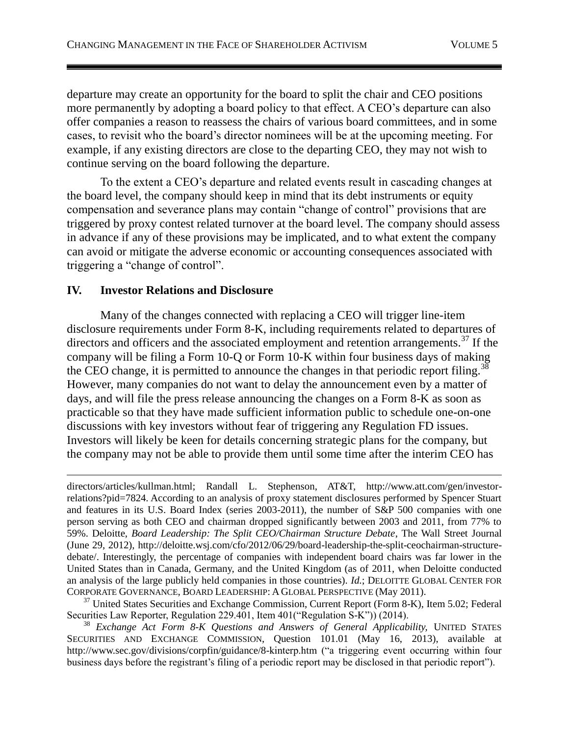departure may create an opportunity for the board to split the chair and CEO positions more permanently by adopting a board policy to that effect. A CEO's departure can also offer companies a reason to reassess the chairs of various board committees, and in some cases, to revisit who the board's director nominees will be at the upcoming meeting. For example, if any existing directors are close to the departing CEO, they may not wish to continue serving on the board following the departure.

To the extent a CEO's departure and related events result in cascading changes at the board level, the company should keep in mind that its debt instruments or equity compensation and severance plans may contain "change of control" provisions that are triggered by proxy contest related turnover at the board level. The company should assess in advance if any of these provisions may be implicated, and to what extent the company can avoid or mitigate the adverse economic or accounting consequences associated with triggering a "change of control".

# **IV. Investor Relations and Disclosure**

 $\overline{a}$ 

Many of the changes connected with replacing a CEO will trigger line-item disclosure requirements under Form 8-K, including requirements related to departures of directors and officers and the associated employment and retention arrangements.<sup>37</sup> If the company will be filing a Form 10-Q or Form 10-K within four business days of making the CEO change, it is permitted to announce the changes in that periodic report filing.<sup>38</sup> However, many companies do not want to delay the announcement even by a matter of days, and will file the press release announcing the changes on a Form 8-K as soon as practicable so that they have made sufficient information public to schedule one-on-one discussions with key investors without fear of triggering any Regulation FD issues. Investors will likely be keen for details concerning strategic plans for the company, but the company may not be able to provide them until some time after the interim CEO has

 $37$  United States Securities and Exchange Commission, Current Report (Form 8-K), Item 5.02; Federal Securities Law Reporter, Regulation 229.401, Item 401("Regulation S-K")) (2014).

<sup>38</sup> *Exchange Act Form 8-K Questions and Answers of General Applicability, UNITED STATES* SECURITIES AND EXCHANGE COMMISSION, Question 101.01 (May 16, 2013), available at http://www.sec.gov/divisions/corpfin/guidance/8-kinterp.htm ("a triggering event occurring within four business days before the registrant's filing of a periodic report may be disclosed in that periodic report").

directors/articles/kullman.html; Randall L. Stephenson, AT&T, http://www.att.com/gen/investorrelations?pid=7824. According to an analysis of proxy statement disclosures performed by Spencer Stuart and features in its U.S. Board Index (series 2003-2011), the number of S&P 500 companies with one person serving as both CEO and chairman dropped significantly between 2003 and 2011, from 77% to 59%. Deloitte, *Board Leadership: The Split CEO/Chairman Structure Debate*, The Wall Street Journal (June 29, 2012), http://deloitte.wsj.com/cfo/2012/06/29/board-leadership-the-split-ceochairman-structuredebate/. Interestingly, the percentage of companies with independent board chairs was far lower in the United States than in Canada, Germany, and the United Kingdom (as of 2011, when Deloitte conducted an analysis of the large publicly held companies in those countries). *Id.*; DELOITTE GLOBAL CENTER FOR CORPORATE GOVERNANCE, BOARD LEADERSHIP: A GLOBAL PERSPECTIVE (May 2011).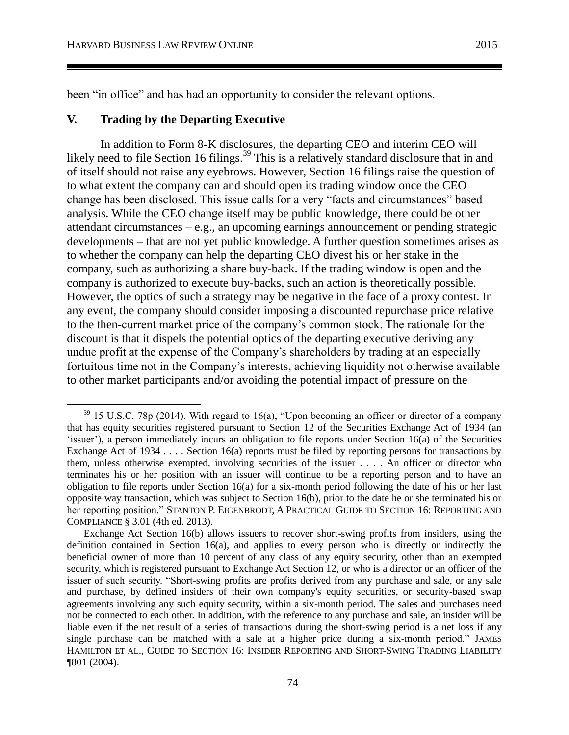been "in office" and has had an opportunity to consider the relevant options.

### **V. Trading by the Departing Executive**

In addition to Form 8-K disclosures, the departing CEO and interim CEO will likely need to file Section 16 filings.<sup>39</sup> This is a relatively standard disclosure that in and of itself should not raise any eyebrows. However, Section 16 filings raise the question of to what extent the company can and should open its trading window once the CEO change has been disclosed. This issue calls for a very "facts and circumstances" based analysis. While the CEO change itself may be public knowledge, there could be other attendant circumstances – e.g., an upcoming earnings announcement or pending strategic developments – that are not yet public knowledge. A further question sometimes arises as to whether the company can help the departing CEO divest his or her stake in the company, such as authorizing a share buy-back. If the trading window is open and the company is authorized to execute buy-backs, such an action is theoretically possible. However, the optics of such a strategy may be negative in the face of a proxy contest. In any event, the company should consider imposing a discounted repurchase price relative to the then-current market price of the company's common stock. The rationale for the discount is that it dispels the potential optics of the departing executive deriving any undue profit at the expense of the Company's shareholders by trading at an especially fortuitous time not in the Company's interests, achieving liquidity not otherwise available to other market participants and/or avoiding the potential impact of pressure on the

 $39$  15 U.S.C. 78p (2014). With regard to 16(a), "Upon becoming an officer or director of a company that has equity securities registered pursuant to Section 12 of the Securities Exchange Act of 1934 (an 'issuer'), a person immediately incurs an obligation to file reports under Section 16(a) of the Securities Exchange Act of 1934  $\dots$  Section 16(a) reports must be filed by reporting persons for transactions by them, unless otherwise exempted, involving securities of the issuer . . . . An officer or director who terminates his or her position with an issuer will continue to be a reporting person and to have an obligation to file reports under Section 16(a) for a six-month period following the date of his or her last opposite way transaction, which was subject to Section 16(b), prior to the date he or she terminated his or her reporting position." STANTON P. EIGENBRODT, A PRACTICAL GUIDE TO SECTION 16: REPORTING AND COMPLIANCE § 3.01 (4th ed. 2013).

Exchange Act Section 16(b) allows issuers to recover short-swing profits from insiders, using the definition contained in Section 16(a), and applies to every person who is directly or indirectly the beneficial owner of more than 10 percent of any class of any equity security, other than an exempted security, which is registered pursuant to Exchange Act Section 12, or who is a director or an officer of the issuer of such security. "Short-swing profits are profits derived from any purchase and sale, or any sale and purchase, by defined insiders of their own company's equity securities, or security-based swap agreements involving any such equity security, within a six-month period. The sales and purchases need not be connected to each other. In addition, with the reference to any purchase and sale, an insider will be liable even if the net result of a series of transactions during the short-swing period is a net loss if any single purchase can be matched with a sale at a higher price during a six-month period." JAMES HAMILTON ET AL., GUIDE TO SECTION 16: INSIDER REPORTING AND SHORT-SWING TRADING LIABILITY ¶801 (2004).